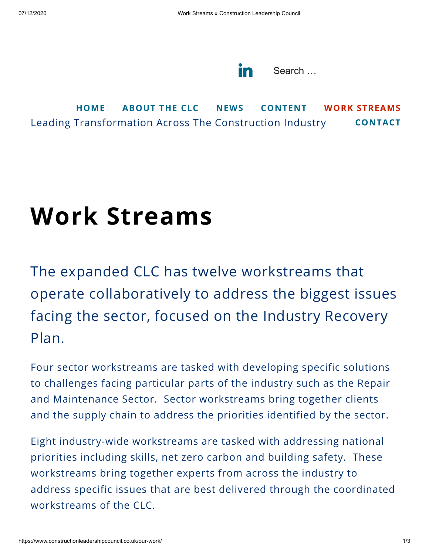

Leading Transformation Across The Construction Industry **[HOME](https://www.constructionleadershipcouncil.co.uk/) [ABOUT](https://www.constructionleadershipcouncil.co.uk/about) THE CLC [NEWS](https://www.constructionleadershipcouncil.co.uk/news/) [CONTENT](https://www.constructionleadershipcouncil.co.uk/content/) WORK [STREAMS](https://www.constructionleadershipcouncil.co.uk/our-work/) [CONTACT](https://www.constructionleadershipcouncil.co.uk/contact/)**

## **Work Streams**

The expanded CLC has twelve workstreams that operate collaboratively to address the biggest issues facing the sector, focused on the Industry Recovery Plan.

Four sector workstreams are tasked with developing specific solutions to challenges facing particular parts of the industry such as the Repair and Maintenance Sector. Sector workstreams bring together clients and the supply chain to address the priorities identified by the sector.

Eight industry-wide workstreams are tasked with addressing national priorities including skills, net zero carbon and building safety. These workstreams bring together experts from across the industry to address specific issues that are best delivered through the coordinated workstreams of the CLC.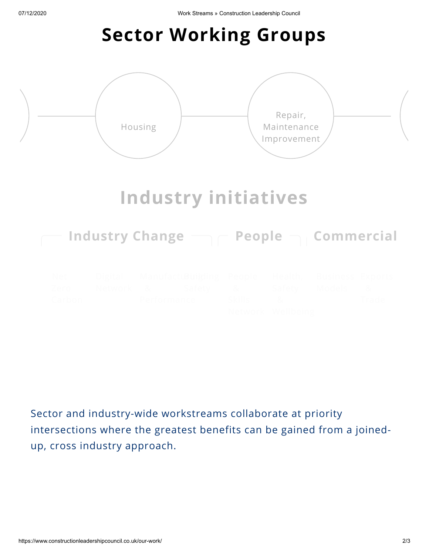## **Sector Working Groups**



Sector and industry-wide workstreams collaborate at priority intersections where the greatest benefits can be gained from a joinedup, cross industry approach.